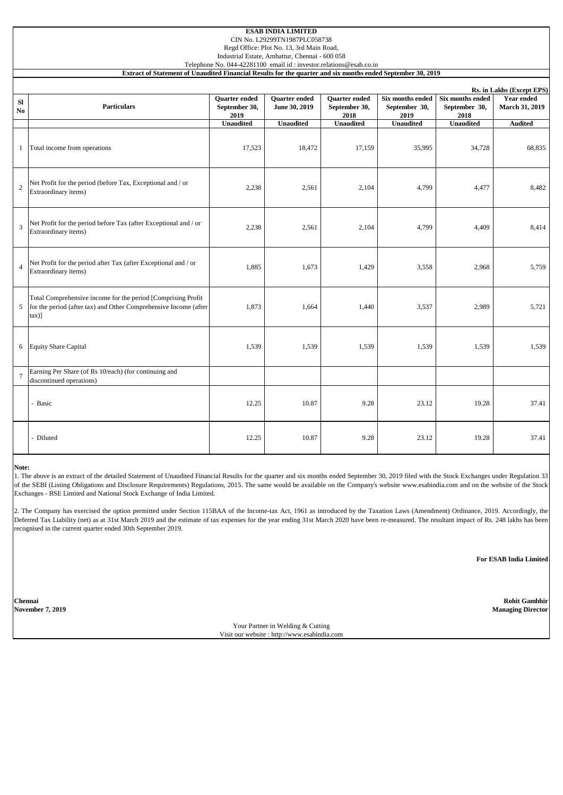| Rs. in Lakhs (Except EPS)                                                                |                                        |                                                                                      |                                        |                                                                                                                             |                                                                    |                                                                                                             |  |  |  |  |  |
|------------------------------------------------------------------------------------------|----------------------------------------|--------------------------------------------------------------------------------------|----------------------------------------|-----------------------------------------------------------------------------------------------------------------------------|--------------------------------------------------------------------|-------------------------------------------------------------------------------------------------------------|--|--|--|--|--|
| <b>Particulars</b>                                                                       | Quarter ended<br>September 30,<br>2019 | <b>Ouarter</b> ended<br>June 30, 2019                                                | Quarter ended<br>September 30,<br>2018 | Six months ended<br>September 30,<br>2019                                                                                   | Six months ended<br>September 30,<br>2018                          | <b>Year ended</b><br><b>March 31, 2019</b>                                                                  |  |  |  |  |  |
|                                                                                          |                                        | <b>Unaudited</b>                                                                     | <b>Unaudited</b>                       | <b>Unaudited</b>                                                                                                            | <b>Unaudited</b>                                                   | <b>Audited</b>                                                                                              |  |  |  |  |  |
| Total income from operations                                                             | 17,523                                 | 18,472                                                                               | 17,159                                 | 35,995                                                                                                                      | 34,728                                                             | 68,835                                                                                                      |  |  |  |  |  |
| Net Profit for the period (before Tax, Exceptional and / or<br>Extraordinary items)      | 2,238                                  | 2,561                                                                                | 2,104                                  | 4,799                                                                                                                       | 4,477                                                              | 8,482                                                                                                       |  |  |  |  |  |
| Net Profit for the period before Tax (after Exceptional and / or<br>Extraordinary items) | 2,238                                  | 2,561                                                                                | 2,104                                  | 4,799                                                                                                                       | 4,409                                                              | 8,414                                                                                                       |  |  |  |  |  |
| Net Profit for the period after Tax (after Exceptional and / or<br>Extraordinary items)  | 1,885                                  | 1,673                                                                                | 1,429                                  | 3,558                                                                                                                       | 2,968                                                              | 5,759                                                                                                       |  |  |  |  |  |
| Total Comprehensive income for the period [Comprising Profit]<br>$\tan$ )]               | 1,873                                  | 1,664                                                                                | 1,440                                  | 3,537                                                                                                                       | 2,989                                                              | 5,721                                                                                                       |  |  |  |  |  |
|                                                                                          | 1,539                                  | 1,539                                                                                | 1,539                                  | 1,539                                                                                                                       | 1,539                                                              | 1,539                                                                                                       |  |  |  |  |  |
| Earning Per Share (of Rs 10/each) (for continuing and<br>discontinued operations)        |                                        |                                                                                      |                                        |                                                                                                                             |                                                                    |                                                                                                             |  |  |  |  |  |
| - Basic                                                                                  | 12.25                                  | 10.87                                                                                | 9.28                                   | 23.12                                                                                                                       | 19.28                                                              | 37.41                                                                                                       |  |  |  |  |  |
| - Diluted                                                                                | 12.25                                  | 10.87                                                                                | 9.28                                   | 23.12                                                                                                                       | 19.28                                                              | 37.41                                                                                                       |  |  |  |  |  |
|                                                                                          | <b>Equity Share Capital</b>            | <b>Unaudited</b><br>for the period (after tax) and Other Comprehensive Income (after |                                        | CIN No. L29299TN1987PLC058738<br>Regd Office: Plot No. 13, 3rd Main Road,<br>Industrial Estate, Ambattur, Chennai - 600 058 | Telephone No. 044-42281100 email id: investor.relations@esab.co.in | Extract of Statement of Unaudited Financial Results for the quarter and six months ended September 30, 2019 |  |  |  |  |  |

#### **Note:**

1. The above is an extract of the detailed Statement of Unaudited Financial Results for the quarter and six months ended September 30, 2019 filed with the Stock Exchanges under Regulation 33 of the SEBI (Listing Obligations and Disclosure Requirements) Regulations, 2015. The same would be available on the Company's website www.esabindia.com and on the website of the Stock Exchanges - BSE Limited and National Stock Exchange of India Limited.

2. The Company has exercised the option permitted under Section 115BAA of the Income-tax Act, 1961 as introduced by the Taxation Laws (Amendment) Ordinance, 2019. Accordingly, the Deferred Tax Liability (net) as at 31st March 2019 and the estimate of tax expenses for the year ending 31st March 2020 have been re-measured. The resultant impact of Rs. 248 lakhs has been recognised in the current quarter ended 30th September 2019.

**For ESAB India Limited**

**Chennai Rohit Gambhir November 7, 2019 Managing Director**

> Your Partner in Welding & Cutting Visit our website : http://www.esabindia.com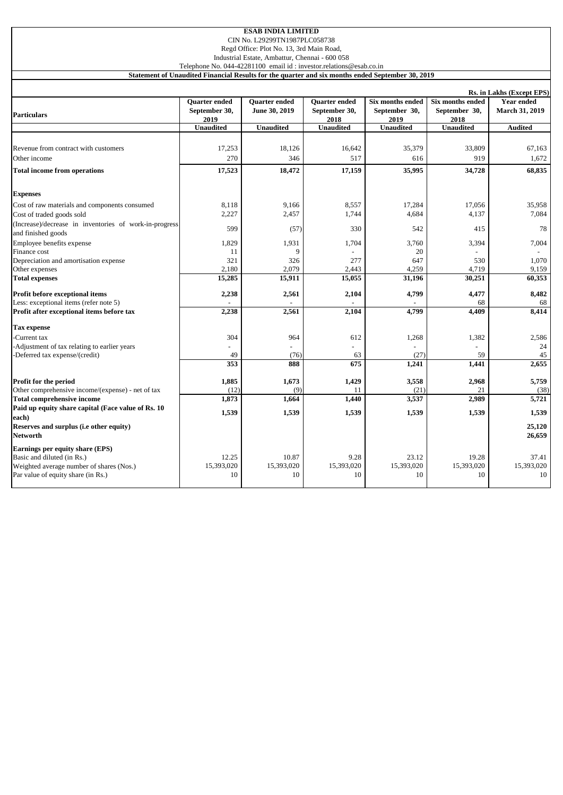|  | <b>ESAB INDIA LIMITED</b> |  |  |  |  |  |  |  |  |  |
|--|---------------------------|--|--|--|--|--|--|--|--|--|
|  |                           |  |  |  |  |  |  |  |  |  |

CIN No. L29299TN1987PLC058738

Regd Office: Plot No. 13, 3rd Main Road, Industrial Estate, Ambattur, Chennai - 600 058

Telephone No. 044-42281100 email id : investor.relations@esab.co.in

**Statement of Unaudited Financial Results for the quarter and six months ended September 30, 2019**

|                                                                              |                                               |                                       |                                               |                                           |                                                  | Rs. in Lakhs (Except EPS)                  |
|------------------------------------------------------------------------------|-----------------------------------------------|---------------------------------------|-----------------------------------------------|-------------------------------------------|--------------------------------------------------|--------------------------------------------|
| <b>Particulars</b>                                                           | <b>Ouarter</b> ended<br>September 30,<br>2019 | <b>Ouarter</b> ended<br>June 30, 2019 | <b>Ouarter</b> ended<br>September 30,<br>2018 | Six months ended<br>September 30,<br>2019 | <b>Six months ended</b><br>September 30,<br>2018 | <b>Year ended</b><br><b>March 31, 2019</b> |
|                                                                              | <b>Unaudited</b>                              | <b>Unaudited</b>                      | <b>Unaudited</b>                              | <b>Unaudited</b>                          | <b>Unaudited</b>                                 | <b>Audited</b>                             |
|                                                                              |                                               |                                       |                                               |                                           |                                                  |                                            |
| Revenue from contract with customers                                         | 17,253                                        | 18,126                                | 16,642                                        | 35,379                                    | 33,809                                           | 67,163                                     |
| Other income                                                                 | 270                                           | 346                                   | 517                                           | 616                                       | 919                                              | 1,672                                      |
| <b>Total income from operations</b>                                          | 17,523                                        | 18,472                                | 17,159                                        | 35,995                                    | 34,728                                           | 68,835                                     |
| <b>Expenses</b>                                                              |                                               |                                       |                                               |                                           |                                                  |                                            |
| Cost of raw materials and components consumed                                | 8,118                                         | 9,166                                 | 8,557                                         | 17,284                                    | 17,056                                           | 35,958                                     |
| Cost of traded goods sold                                                    | 2,227                                         | 2,457                                 | 1,744                                         | 4,684                                     | 4,137                                            | 7,084                                      |
| (Increase)/decrease in inventories of work-in-progress<br>and finished goods | 599                                           | (57)                                  | 330                                           | 542                                       | 415                                              | 78                                         |
| Employee benefits expense                                                    | 1,829                                         | 1,931                                 | 1,704                                         | 3,760                                     | 3,394                                            | 7,004                                      |
| Finance cost                                                                 | 11                                            | 9                                     |                                               | 20                                        |                                                  |                                            |
| Depreciation and amortisation expense                                        | 321                                           | 326                                   | 277                                           | 647                                       | 530                                              | 1,070                                      |
| Other expenses                                                               | 2,180                                         | 2,079                                 | 2,443                                         | 4,259                                     | 4,719                                            | 9,159                                      |
| <b>Total expenses</b>                                                        | 15,285                                        | 15,911                                | 15,055                                        | 31,196                                    | 30,251                                           | 60,353                                     |
| Profit before exceptional items                                              | 2,238                                         | 2,561                                 | 2,104                                         | 4,799                                     | 4,477                                            | 8,482                                      |
| Less: exceptional items (refer note 5)                                       |                                               |                                       |                                               |                                           | 68                                               | 68                                         |
| Profit after exceptional items before tax                                    | 2,238                                         | 2,561                                 | 2,104                                         | 4,799                                     | 4,409                                            | 8,414                                      |
| <b>Tax expense</b>                                                           |                                               |                                       |                                               |                                           |                                                  |                                            |
| -Current tax                                                                 | 304                                           | 964                                   | 612                                           | 1,268                                     | 1,382                                            | 2,586                                      |
| -Adjustment of tax relating to earlier years                                 |                                               |                                       |                                               |                                           |                                                  | 24                                         |
| -Deferred tax expense/(credit)                                               | 49                                            | (76)                                  | 63                                            | (27)                                      | 59                                               | 45                                         |
|                                                                              | 353                                           | 888                                   | 675                                           | 1,241                                     | 1,441                                            | 2,655                                      |
| Profit for the period                                                        | 1,885                                         | 1,673                                 | 1,429                                         | 3,558                                     | 2,968                                            | 5,759                                      |
| Other comprehensive income/(expense) - net of tax                            | (12)                                          | (9)                                   | 11                                            | (21)                                      | 21                                               | (38)                                       |
| <b>Total comprehensive income</b>                                            | 1,873                                         | 1,664                                 | 1,440                                         | 3,537                                     | 2,989                                            | 5,721                                      |
| Paid up equity share capital (Face value of Rs. 10)<br>each)                 | 1,539                                         | 1,539                                 | 1,539                                         | 1,539                                     | 1,539                                            | 1,539                                      |
| Reserves and surplus (i.e other equity)<br><b>Networth</b>                   |                                               |                                       |                                               |                                           |                                                  | 25,120<br>26,659                           |
| Earnings per equity share (EPS)                                              |                                               |                                       |                                               |                                           |                                                  |                                            |
| Basic and diluted (in Rs.)                                                   | 12.25                                         | 10.87                                 | 9.28                                          | 23.12                                     | 19.28                                            | 37.41                                      |
| Weighted average number of shares (Nos.)                                     | 15,393,020                                    | 15,393,020                            | 15,393,020                                    | 15,393,020                                | 15,393,020                                       | 15,393,020                                 |
| Par value of equity share (in Rs.)                                           | 10                                            | 10                                    | 10                                            | 10                                        | 10                                               | 10                                         |
|                                                                              |                                               |                                       |                                               |                                           |                                                  |                                            |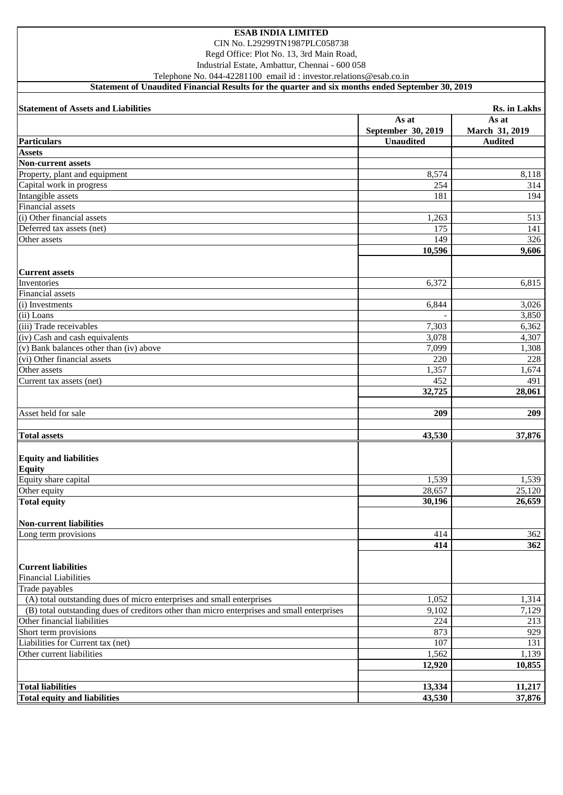CIN No. L29299TN1987PLC058738

Regd Office: Plot No. 13, 3rd Main Road,

Industrial Estate, Ambattur, Chennai - 600 058

Telephone No. 044-42281100 email id : investor.relations@esab.co.in

**Statement of Unaudited Financial Results for the quarter and six months ended September 30, 2019**

| <b>Statement of Assets and Liabilities</b>                                                 |                    | Rs. in Lakhs   |
|--------------------------------------------------------------------------------------------|--------------------|----------------|
|                                                                                            | As at              | As at          |
|                                                                                            | September 30, 2019 | March 31, 2019 |
| <b>Particulars</b>                                                                         | <b>Unaudited</b>   | <b>Audited</b> |
| <b>Assets</b>                                                                              |                    |                |
| <b>Non-current assets</b>                                                                  |                    |                |
| Property, plant and equipment                                                              | 8,574              | 8,118          |
| Capital work in progress                                                                   | 254                | 314            |
| Intangible assets                                                                          | 181                | 194            |
| Financial assets                                                                           |                    |                |
| (i) Other financial assets                                                                 | 1,263              | 513            |
| Deferred tax assets (net)                                                                  | 175                | 141            |
| Other assets                                                                               | 149                | 326            |
|                                                                                            | 10,596             | 9,606          |
| <b>Current assets</b>                                                                      |                    |                |
| Inventories                                                                                | 6,372              | 6,815          |
| Financial assets                                                                           |                    |                |
| (i) Investments                                                                            | 6,844              | 3,026          |
| (ii) Loans                                                                                 |                    | 3,850          |
| (iii) Trade receivables                                                                    | 7,303              | 6,362          |
| (iv) Cash and cash equivalents                                                             | 3,078              | 4,307          |
| (v) Bank balances other than (iv) above                                                    | 7,099              | 1,308          |
| (vi) Other financial assets                                                                | 220                | 228            |
| Other assets                                                                               | 1,357              | 1,674          |
| Current tax assets (net)                                                                   | 452                | 491            |
|                                                                                            | 32,725             | 28,061         |
|                                                                                            |                    |                |
| Asset held for sale                                                                        | 209                | 209            |
|                                                                                            |                    |                |
| <b>Total assets</b>                                                                        | 43,530             | 37,876         |
|                                                                                            |                    |                |
| <b>Equity and liabilities</b>                                                              |                    |                |
| <b>Equity</b>                                                                              |                    |                |
| Equity share capital                                                                       | 1,539              | 1,539          |
| Other equity                                                                               | 28,657             | 25,120         |
| <b>Total equity</b>                                                                        | 30,196             | 26,659         |
| <b>Non-current liabilities</b>                                                             |                    |                |
| Long term provisions                                                                       | 414                | 362            |
|                                                                                            | 414                | 362            |
|                                                                                            |                    |                |
| <b>Current liabilities</b>                                                                 |                    |                |
| <b>Financial Liabilities</b>                                                               |                    |                |
| Trade payables                                                                             |                    |                |
| (A) total outstanding dues of micro enterprises and small enterprises                      | 1,052              | 1,314          |
| (B) total outstanding dues of creditors other than micro enterprises and small enterprises | 9,102              | 7,129          |
| Other financial liabilities                                                                | 224                | 213            |
| Short term provisions                                                                      | 873                | 929            |
| Liabilities for Current tax (net)                                                          | 107                | 131            |
| Other current liabilities                                                                  | 1,562              | 1,139          |
|                                                                                            | 12,920             | 10,855         |
|                                                                                            |                    |                |
| <b>Total liabilities</b>                                                                   | 13,334             | 11,217         |
| <b>Total equity and liabilities</b>                                                        | 43,530             | 37,876         |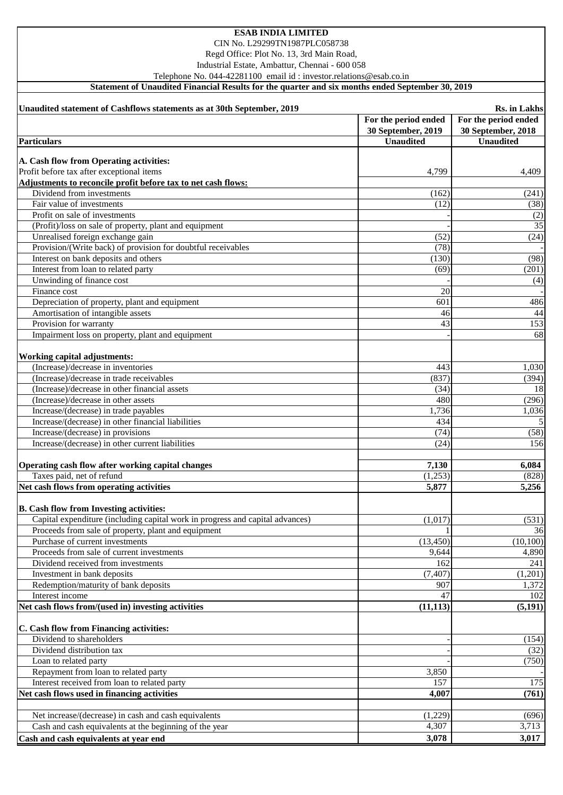CIN No. L29299TN1987PLC058738

Regd Office: Plot No. 13, 3rd Main Road,

Industrial Estate, Ambattur, Chennai - 600 058

Telephone No. 044-42281100 email id : investor.relations@esab.co.in

**Statement of Unaudited Financial Results for the quarter and six months ended September 30, 2019**

| Unaudited statement of Cashflows statements as at 30th September, 2019        |                      | Rs. in Lakhs         |
|-------------------------------------------------------------------------------|----------------------|----------------------|
|                                                                               | For the period ended | For the period ended |
|                                                                               | 30 September, 2019   | 30 September, 2018   |
| <b>Particulars</b>                                                            | <b>Unaudited</b>     | <b>Unaudited</b>     |
| A. Cash flow from Operating activities:                                       |                      |                      |
| Profit before tax after exceptional items                                     | 4,799                | 4,409                |
| Adjustments to reconcile profit before tax to net cash flows:                 |                      |                      |
| Dividend from investments                                                     | (162)                | (241)                |
| Fair value of investments                                                     | (12)                 | (38)                 |
| Profit on sale of investments                                                 |                      | (2)                  |
| (Profit)/loss on sale of property, plant and equipment                        |                      | 35                   |
| Unrealised foreign exchange gain                                              | (52)                 | (24)                 |
| Provision/(Write back) of provision for doubtful receivables                  | (78)                 |                      |
| Interest on bank deposits and others                                          | (130)                | (98)                 |
| Interest from loan to related party                                           | (69)                 | (201)                |
| Unwinding of finance cost                                                     |                      | (4)                  |
| Finance cost                                                                  | 20                   |                      |
| Depreciation of property, plant and equipment                                 | 601                  | 486                  |
| Amortisation of intangible assets                                             | 46                   | 44                   |
| Provision for warranty                                                        | 43                   | 153                  |
| Impairment loss on property, plant and equipment                              |                      | 68                   |
|                                                                               |                      |                      |
| Working capital adjustments:                                                  |                      |                      |
| (Increase)/decrease in inventories                                            | 443                  | 1,030                |
| (Increase)/decrease in trade receivables                                      | (837)                | (394)                |
| (Increase)/decrease in other financial assets                                 | (34)                 | 18                   |
| (Increase)/decrease in other assets                                           | 480                  | (296)                |
| Increase/(decrease) in trade payables                                         | 1,736                | 1,036                |
| Increase/(decrease) in other financial liabilities                            | 434                  | 5                    |
| Increase/(decrease) in provisions                                             | (74)                 | (58)                 |
| Increase/(decrease) in other current liabilities                              | (24)                 | 156                  |
|                                                                               |                      |                      |
| Operating cash flow after working capital changes                             | 7,130                | 6,084                |
| Taxes paid, net of refund                                                     | (1,253)              | (828)                |
| Net cash flows from operating activities                                      | 5,877                | 5,256                |
| <b>B.</b> Cash flow from Investing activities:                                |                      |                      |
| Capital expenditure (including capital work in progress and capital advances) | (1,017)              | (531)                |
| Proceeds from sale of property, plant and equipment                           |                      | 36                   |
| Purchase of current investments                                               | (13, 450)            | (10, 100)            |
| Proceeds from sale of current investments                                     | 9,644                | 4,890                |
| Dividend received from investments                                            | 162                  | 241                  |
| Investment in bank deposits                                                   | (7, 407)             | (1,201)              |
| Redemption/maturity of bank deposits                                          | 907                  | 1,372                |
| Interest income                                                               | 47                   | 102                  |
| Net cash flows from/(used in) investing activities                            | (11, 113)            | (5, 191)             |
|                                                                               |                      |                      |
| C. Cash flow from Financing activities:                                       |                      |                      |
| Dividend to shareholders                                                      |                      | (154)                |
| Dividend distribution tax                                                     |                      | (32)                 |
| Loan to related party                                                         |                      | (750)                |
| Repayment from loan to related party                                          | 3,850                |                      |
| Interest received from loan to related party                                  | 157                  | 175                  |
| Net cash flows used in financing activities                                   | 4,007                | (761)                |
|                                                                               |                      |                      |
| Net increase/(decrease) in cash and cash equivalents                          | (1,229)              | (696)                |
| Cash and cash equivalents at the beginning of the year                        | 4,307                | 3,713                |
| Cash and cash equivalents at year end                                         | 3,078                | 3,017                |